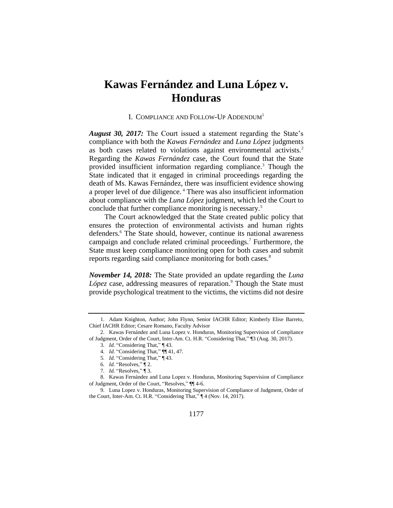## **Kawas Fernández and Luna López v. Honduras**

## I. COMPLIANCE AND FOLLOW-UP ADDENDUM<sup>1</sup>

*August 30, 2017:* The Court issued a statement regarding the State's compliance with both the *Kawas Fernández* and *Luna López* judgments as both cases related to violations against environmental activists.<sup>2</sup> Regarding the *Kawas Fernández* case, the Court found that the State provided insufficient information regarding compliance.<sup>3</sup> Though the State indicated that it engaged in criminal proceedings regarding the death of Ms. Kawas Fernández, there was insufficient evidence showing a proper level of due diligence. <sup>4</sup> There was also insufficient information about compliance with the *Luna López* judgment, which led the Court to conclude that further compliance monitoring is necessary.<sup>5</sup>

The Court acknowledged that the State created public policy that ensures the protection of environmental activists and human rights defenders.<sup>6</sup> The State should, however, continue its national awareness campaign and conclude related criminal proceedings.<sup>7</sup> Furthermore, the State must keep compliance monitoring open for both cases and submit reports regarding said compliance monitoring for both cases.<sup>8</sup>

*November 14, 2018:* The State provided an update regarding the *Luna López* case, addressing measures of reparation.<sup>9</sup> Though the State must provide psychological treatment to the victims, the victims did not desire

- 5*. Id.* "Considering That," ¶ 43.
- 6*. Id.* "Resolves," ¶ 2.
- 7*. Id.* "Resolves," ¶ 3.

<sup>1.</sup> Adam Knighton, Author; John Flynn, Senior IACHR Editor; Kimberly Elise Barreto, Chief IACHR Editor; Cesare Romano, Faculty Advisor

<sup>2.</sup> Kawas Fernández and Luna Lopez v. Honduras, Monitoring Supervision of Compliance of Judgment, Order of the Court, Inter-Am. Ct. H.R. "Considering That," ¶3 (Aug. 30, 2017).

<sup>3</sup>*. Id.* "Considering That," ¶ 43.

<sup>4</sup>*. Id.* "Considering That," ¶¶ 41, 47.

<sup>8.</sup> Kawas Fernández and Luna Lopez v. Honduras, Monitoring Supervision of Compliance of Judgment, Order of the Court, "Resolves," ¶¶ 4-6.

<sup>9.</sup> Luna Lopez v. Honduras, Monitoring Supervision of Compliance of Judgment, Order of the Court, Inter-Am. Ct. H.R. "Considering That," ¶ 4 (Nov. 14, 2017).